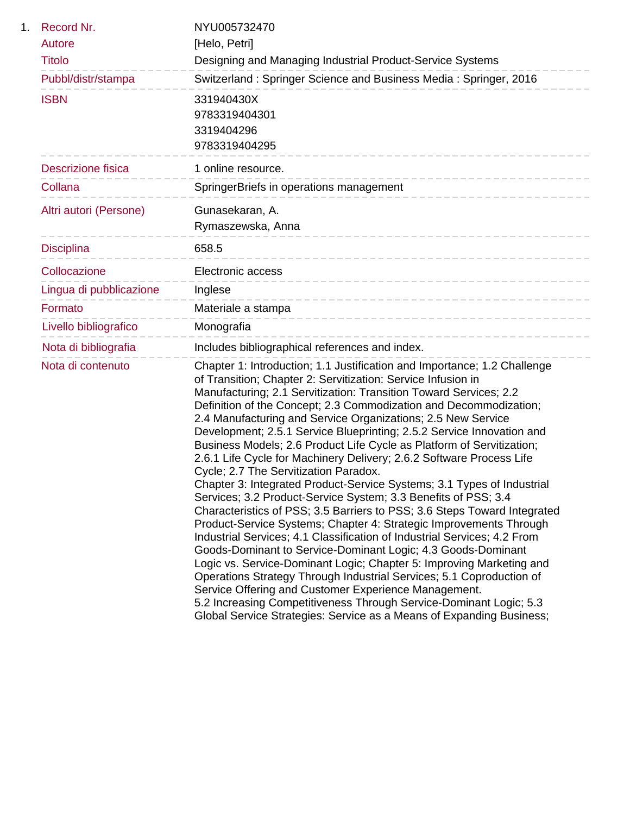| 1. | Record Nr.              | NYU005732470                                                                                                                                                                                                                                                                                                                                                                                                                                                                                                                                                                                                                                                                                                                                                                                                                                                                                                                                                                                                                                                                                                                                                                                                                                                                                                                                                                                                          |
|----|-------------------------|-----------------------------------------------------------------------------------------------------------------------------------------------------------------------------------------------------------------------------------------------------------------------------------------------------------------------------------------------------------------------------------------------------------------------------------------------------------------------------------------------------------------------------------------------------------------------------------------------------------------------------------------------------------------------------------------------------------------------------------------------------------------------------------------------------------------------------------------------------------------------------------------------------------------------------------------------------------------------------------------------------------------------------------------------------------------------------------------------------------------------------------------------------------------------------------------------------------------------------------------------------------------------------------------------------------------------------------------------------------------------------------------------------------------------|
|    | Autore                  | [Helo, Petri]                                                                                                                                                                                                                                                                                                                                                                                                                                                                                                                                                                                                                                                                                                                                                                                                                                                                                                                                                                                                                                                                                                                                                                                                                                                                                                                                                                                                         |
|    | <b>Titolo</b>           | Designing and Managing Industrial Product-Service Systems                                                                                                                                                                                                                                                                                                                                                                                                                                                                                                                                                                                                                                                                                                                                                                                                                                                                                                                                                                                                                                                                                                                                                                                                                                                                                                                                                             |
|    | Pubbl/distr/stampa      | Switzerland: Springer Science and Business Media: Springer, 2016                                                                                                                                                                                                                                                                                                                                                                                                                                                                                                                                                                                                                                                                                                                                                                                                                                                                                                                                                                                                                                                                                                                                                                                                                                                                                                                                                      |
|    | <b>ISBN</b>             | 331940430X                                                                                                                                                                                                                                                                                                                                                                                                                                                                                                                                                                                                                                                                                                                                                                                                                                                                                                                                                                                                                                                                                                                                                                                                                                                                                                                                                                                                            |
|    |                         | 9783319404301<br>3319404296                                                                                                                                                                                                                                                                                                                                                                                                                                                                                                                                                                                                                                                                                                                                                                                                                                                                                                                                                                                                                                                                                                                                                                                                                                                                                                                                                                                           |
|    |                         | 9783319404295                                                                                                                                                                                                                                                                                                                                                                                                                                                                                                                                                                                                                                                                                                                                                                                                                                                                                                                                                                                                                                                                                                                                                                                                                                                                                                                                                                                                         |
|    | Descrizione fisica      | 1 online resource.                                                                                                                                                                                                                                                                                                                                                                                                                                                                                                                                                                                                                                                                                                                                                                                                                                                                                                                                                                                                                                                                                                                                                                                                                                                                                                                                                                                                    |
|    | Collana                 | SpringerBriefs in operations management                                                                                                                                                                                                                                                                                                                                                                                                                                                                                                                                                                                                                                                                                                                                                                                                                                                                                                                                                                                                                                                                                                                                                                                                                                                                                                                                                                               |
|    | Altri autori (Persone)  | Gunasekaran, A.                                                                                                                                                                                                                                                                                                                                                                                                                                                                                                                                                                                                                                                                                                                                                                                                                                                                                                                                                                                                                                                                                                                                                                                                                                                                                                                                                                                                       |
|    |                         | Rymaszewska, Anna<br>__________________________                                                                                                                                                                                                                                                                                                                                                                                                                                                                                                                                                                                                                                                                                                                                                                                                                                                                                                                                                                                                                                                                                                                                                                                                                                                                                                                                                                       |
|    | <b>Disciplina</b>       | 658.5<br>-------------------------------                                                                                                                                                                                                                                                                                                                                                                                                                                                                                                                                                                                                                                                                                                                                                                                                                                                                                                                                                                                                                                                                                                                                                                                                                                                                                                                                                                              |
|    | Collocazione            | <b>Electronic access</b><br>------------------------------                                                                                                                                                                                                                                                                                                                                                                                                                                                                                                                                                                                                                                                                                                                                                                                                                                                                                                                                                                                                                                                                                                                                                                                                                                                                                                                                                            |
|    | Lingua di pubblicazione | Inglese<br>------------------------------                                                                                                                                                                                                                                                                                                                                                                                                                                                                                                                                                                                                                                                                                                                                                                                                                                                                                                                                                                                                                                                                                                                                                                                                                                                                                                                                                                             |
|    | Formato                 | Materiale a stampa<br>------------------------------                                                                                                                                                                                                                                                                                                                                                                                                                                                                                                                                                                                                                                                                                                                                                                                                                                                                                                                                                                                                                                                                                                                                                                                                                                                                                                                                                                  |
|    | Livello bibliografico   | Monografia                                                                                                                                                                                                                                                                                                                                                                                                                                                                                                                                                                                                                                                                                                                                                                                                                                                                                                                                                                                                                                                                                                                                                                                                                                                                                                                                                                                                            |
|    | Nota di bibliografia    | Includes bibliographical references and index.                                                                                                                                                                                                                                                                                                                                                                                                                                                                                                                                                                                                                                                                                                                                                                                                                                                                                                                                                                                                                                                                                                                                                                                                                                                                                                                                                                        |
|    | Nota di contenuto       | Chapter 1: Introduction; 1.1 Justification and Importance; 1.2 Challenge<br>of Transition; Chapter 2: Servitization: Service Infusion in<br>Manufacturing; 2.1 Servitization: Transition Toward Services; 2.2<br>Definition of the Concept; 2.3 Commodization and Decommodization;<br>2.4 Manufacturing and Service Organizations; 2.5 New Service<br>Development; 2.5.1 Service Blueprinting; 2.5.2 Service Innovation and<br>Business Models; 2.6 Product Life Cycle as Platform of Servitization;<br>2.6.1 Life Cycle for Machinery Delivery; 2.6.2 Software Process Life<br>Cycle; 2.7 The Servitization Paradox.<br>Chapter 3: Integrated Product-Service Systems; 3.1 Types of Industrial<br>Services; 3.2 Product-Service System; 3.3 Benefits of PSS; 3.4<br>Characteristics of PSS; 3.5 Barriers to PSS; 3.6 Steps Toward Integrated<br>Product-Service Systems; Chapter 4: Strategic Improvements Through<br>Industrial Services; 4.1 Classification of Industrial Services; 4.2 From<br>Goods-Dominant to Service-Dominant Logic; 4.3 Goods-Dominant<br>Logic vs. Service-Dominant Logic; Chapter 5: Improving Marketing and<br>Operations Strategy Through Industrial Services; 5.1 Coproduction of<br>Service Offering and Customer Experience Management.<br>5.2 Increasing Competitiveness Through Service-Dominant Logic; 5.3<br>Global Service Strategies: Service as a Means of Expanding Business; |